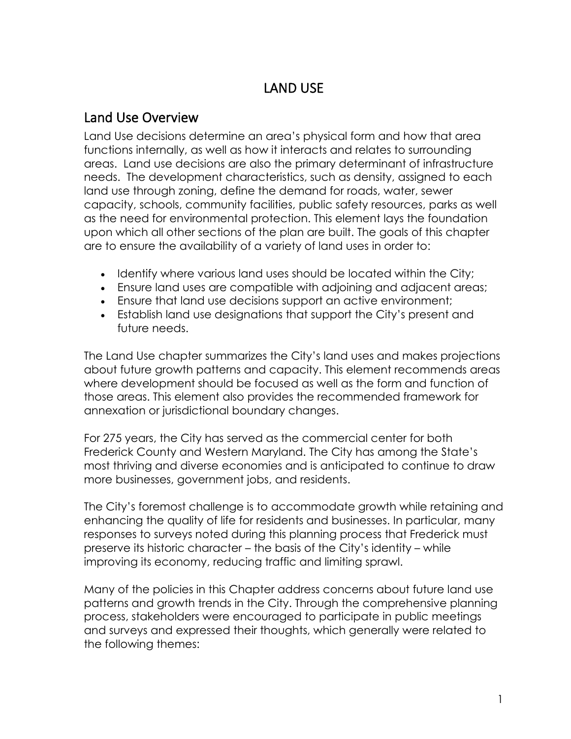## LAND USE

### Land Use Overview

Land Use decisions determine an area's physical form and how that area functions internally, as well as how it interacts and relates to surrounding areas. Land use decisions are also the primary determinant of infrastructure needs. The development characteristics, such as density, assigned to each land use through zoning, define the demand for roads, water, sewer capacity, schools, community facilities, public safety resources, parks as well as the need for environmental protection. This element lays the foundation upon which all other sections of the plan are built. The goals of this chapter are to ensure the availability of a variety of land uses in order to:

- Identify where various land uses should be located within the City;
- Ensure land uses are compatible with adjoining and adjacent areas;
- Ensure that land use decisions support an active environment;
- Establish land use designations that support the City's present and future needs.

The Land Use chapter summarizes the City's land uses and makes projections about future growth patterns and capacity. This element recommends areas where development should be focused as well as the form and function of those areas. This element also provides the recommended framework for annexation or jurisdictional boundary changes.

For 275 years, the City has served as the commercial center for both Frederick County and Western Maryland. The City has among the State's most thriving and diverse economies and is anticipated to continue to draw more businesses, government jobs, and residents.

The City's foremost challenge is to accommodate growth while retaining and enhancing the quality of life for residents and businesses. In particular, many responses to surveys noted during this planning process that Frederick must preserve its historic character – the basis of the City's identity – while improving its economy, reducing traffic and limiting sprawl.

Many of the policies in this Chapter address concerns about future land use patterns and growth trends in the City. Through the comprehensive planning process, stakeholders were encouraged to participate in public meetings and surveys and expressed their thoughts, which generally were related to the following themes: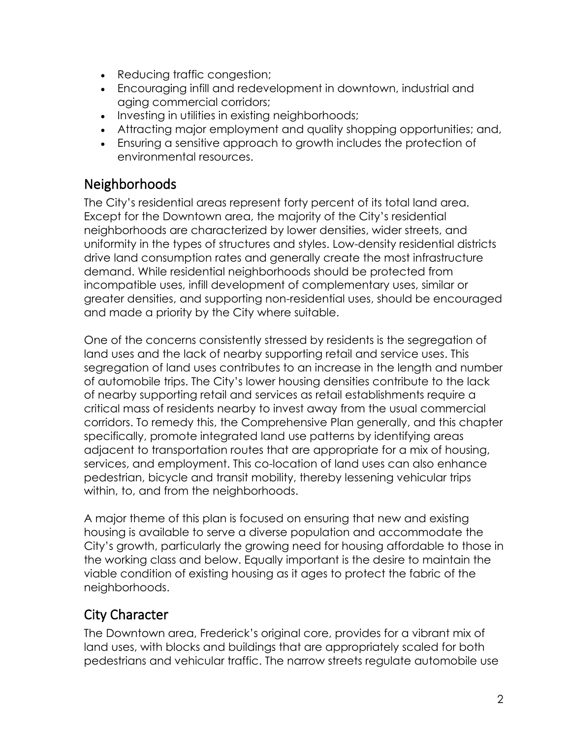- Reducing traffic congestion;
- Encouraging infill and redevelopment in downtown, industrial and aging commercial corridors;
- Investing in utilities in existing neighborhoods;
- Attracting major employment and quality shopping opportunities; and,
- Ensuring a sensitive approach to growth includes the protection of environmental resources.

## Neighborhoods

The City's residential areas represent forty percent of its total land area. Except for the Downtown area, the majority of the City's residential neighborhoods are characterized by lower densities, wider streets, and uniformity in the types of structures and styles. Low-density residential districts drive land consumption rates and generally create the most infrastructure demand. While residential neighborhoods should be protected from incompatible uses, infill development of complementary uses, similar or greater densities, and supporting non-residential uses, should be encouraged and made a priority by the City where suitable.

One of the concerns consistently stressed by residents is the segregation of land uses and the lack of nearby supporting retail and service uses. This segregation of land uses contributes to an increase in the length and number of automobile trips. The City's lower housing densities contribute to the lack of nearby supporting retail and services as retail establishments require a critical mass of residents nearby to invest away from the usual commercial corridors. To remedy this, the Comprehensive Plan generally, and this chapter specifically, promote integrated land use patterns by identifying areas adjacent to transportation routes that are appropriate for a mix of housing, services, and employment. This co-location of land uses can also enhance pedestrian, bicycle and transit mobility, thereby lessening vehicular trips within, to, and from the neighborhoods.

A major theme of this plan is focused on ensuring that new and existing housing is available to serve a diverse population and accommodate the City's growth, particularly the growing need for housing affordable to those in the working class and below. Equally important is the desire to maintain the viable condition of existing housing as it ages to protect the fabric of the neighborhoods.

## City Character

The Downtown area, Frederick's original core, provides for a vibrant mix of land uses, with blocks and buildings that are appropriately scaled for both pedestrians and vehicular traffic. The narrow streets regulate automobile use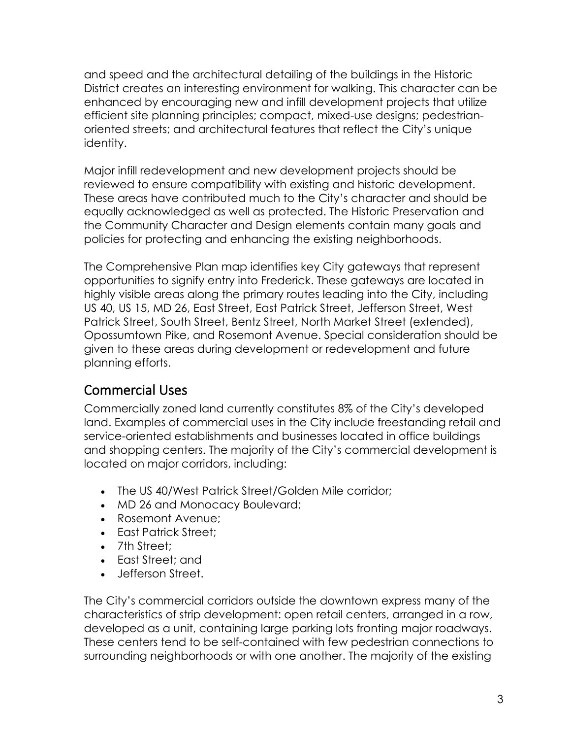and speed and the architectural detailing of the buildings in the Historic District creates an interesting environment for walking. This character can be enhanced by encouraging new and infill development projects that utilize efficient site planning principles; compact, mixed-use designs; pedestrianoriented streets; and architectural features that reflect the City's unique identity.

Major infill redevelopment and new development projects should be reviewed to ensure compatibility with existing and historic development. These areas have contributed much to the City's character and should be equally acknowledged as well as protected. The Historic Preservation and the Community Character and Design elements contain many goals and policies for protecting and enhancing the existing neighborhoods.

The Comprehensive Plan map identifies key City gateways that represent opportunities to signify entry into Frederick. These gateways are located in highly visible areas along the primary routes leading into the City, including US 40, US 15, MD 26, East Street, East Patrick Street, Jefferson Street, West Patrick Street, South Street, Bentz Street, North Market Street (extended), Opossumtown Pike, and Rosemont Avenue. Special consideration should be given to these areas during development or redevelopment and future planning efforts.

### Commercial Uses

Commercially zoned land currently constitutes 8% of the City's developed land. Examples of commercial uses in the City include freestanding retail and service-oriented establishments and businesses located in office buildings and shopping centers. The majority of the City's commercial development is located on major corridors, including:

- The US 40/West Patrick Street/Golden Mile corridor;
- MD 26 and Monocacy Boulevard;
- Rosemont Avenue;
- East Patrick Street:
- 7th Street:
- East Street; and
- Jefferson Street.

The City's commercial corridors outside the downtown express many of the characteristics of strip development: open retail centers, arranged in a row, developed as a unit, containing large parking lots fronting major roadways. These centers tend to be self-contained with few pedestrian connections to surrounding neighborhoods or with one another. The majority of the existing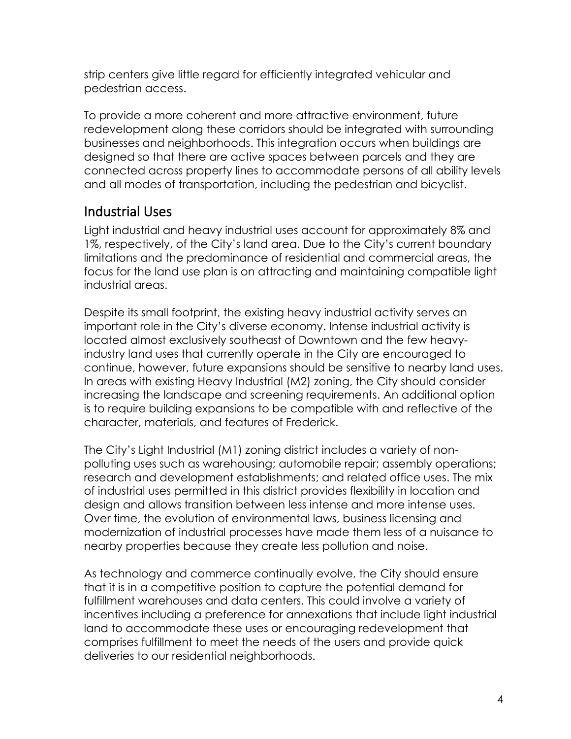strip centers give little regard for efficiently integrated vehicular and pedestrian access.

To provide a more coherent and more attractive environment, future redevelopment along these corridors should be integrated with surrounding businesses and neighborhoods. This integration occurs when buildings are designed so that there are active spaces between parcels and they are connected across property lines to accommodate persons of all ability levels and all modes of transportation, including the pedestrian and bicyclist.

## Industrial Uses

Light industrial and heavy industrial uses account for approximately 8% and 1%, respectively, of the City's land area. Due to the City's current boundary limitations and the predominance of residential and commercial areas, the focus for the land use plan is on attracting and maintaining compatible light industrial areas.

Despite its small footprint, the existing heavy industrial activity serves an important role in the City's diverse economy. Intense industrial activity is located almost exclusively southeast of Downtown and the few heavyindustry land uses that currently operate in the City are encouraged to continue, however, future expansions should be sensitive to nearby land uses. In areas with existing Heavy Industrial (M2) zoning, the City should consider increasing the landscape and screening requirements. An additional option is to require building expansions to be compatible with and reflective of the character, materials, and features of Frederick.

The City's Light Industrial (M1) zoning district includes a variety of nonpolluting uses such as warehousing; automobile repair; assembly operations; research and development establishments; and related office uses. The mix of industrial uses permitted in this district provides flexibility in location and design and allows transition between less intense and more intense uses. Over time, the evolution of environmental laws, business licensing and modernization of industrial processes have made them less of a nuisance to nearby properties because they create less pollution and noise.

As technology and commerce continually evolve, the City should ensure that it is in a competitive position to capture the potential demand for fulfillment warehouses and data centers. This could involve a variety of incentives including a preference for annexations that include light industrial land to accommodate these uses or encouraging redevelopment that comprises fulfillment to meet the needs of the users and provide quick deliveries to our residential neighborhoods.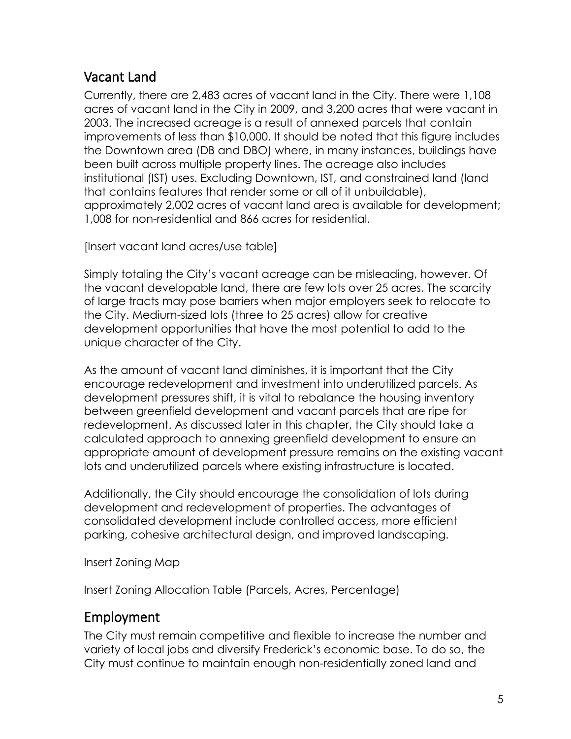## Vacant Land

Currently, there are 2,483 acres of vacant land in the City. There were 1,108 acres of vacant land in the City in 2009, and 3,200 acres that were vacant in 2003. The increased acreage is a result of annexed parcels that contain improvements of less than \$10,000. It should be noted that this figure includes the Downtown area (DB and DBO) where, in many instances, buildings have been built across multiple property lines. The acreage also includes institutional (IST) uses. Excluding Downtown, IST, and constrained land (land that contains features that render some or all of it unbuildable), approximately 2,002 acres of vacant land area is available for development; 1,008 for non-residential and 866 acres for residential.

[Insert vacant land acres/use table]

Simply totaling the City's vacant acreage can be misleading, however. Of the vacant developable land, there are few lots over 25 acres. The scarcity of large tracts may pose barriers when major employers seek to relocate to the City. Medium-sized lots (three to 25 acres) allow for creative development opportunities that have the most potential to add to the unique character of the City.

As the amount of vacant land diminishes, it is important that the City encourage redevelopment and investment into underutilized parcels. As development pressures shift, it is vital to rebalance the housing inventory between greenfield development and vacant parcels that are ripe for redevelopment. As discussed later in this chapter, the City should take a calculated approach to annexing greenfield development to ensure an appropriate amount of development pressure remains on the existing vacant lots and underutilized parcels where existing infrastructure is located.

Additionally, the City should encourage the consolidation of lots during development and redevelopment of properties. The advantages of consolidated development include controlled access, more efficient parking, cohesive architectural design, and improved landscaping.

Insert Zoning Map

Insert Zoning Allocation Table (Parcels, Acres, Percentage)

## Employment

The City must remain competitive and flexible to increase the number and variety of local jobs and diversify Frederick's economic base. To do so, the City must continue to maintain enough non-residentially zoned land and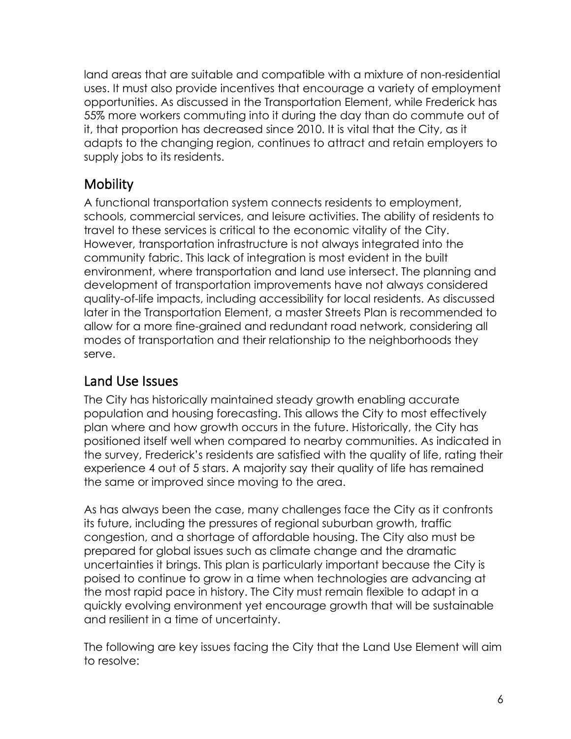land areas that are suitable and compatible with a mixture of non-residential uses. It must also provide incentives that encourage a variety of employment opportunities. As discussed in the Transportation Element, while Frederick has 55% more workers commuting into it during the day than do commute out of it, that proportion has decreased since 2010. It is vital that the City, as it adapts to the changing region, continues to attract and retain employers to supply jobs to its residents.

## **Mobility**

A functional transportation system connects residents to employment, schools, commercial services, and leisure activities. The ability of residents to travel to these services is critical to the economic vitality of the City. However, transportation infrastructure is not always integrated into the community fabric. This lack of integration is most evident in the built environment, where transportation and land use intersect. The planning and development of transportation improvements have not always considered quality-of-life impacts, including accessibility for local residents. As discussed later in the Transportation Element, a master Streets Plan is recommended to allow for a more fine-grained and redundant road network, considering all modes of transportation and their relationship to the neighborhoods they serve.

## Land Use Issues

The City has historically maintained steady growth enabling accurate population and housing forecasting. This allows the City to most effectively plan where and how growth occurs in the future. Historically, the City has positioned itself well when compared to nearby communities. As indicated in the survey, Frederick's residents are satisfied with the quality of life, rating their experience 4 out of 5 stars. A majority say their quality of life has remained the same or improved since moving to the area.

As has always been the case, many challenges face the City as it confronts its future, including the pressures of regional suburban growth, traffic congestion, and a shortage of affordable housing. The City also must be prepared for global issues such as climate change and the dramatic uncertainties it brings. This plan is particularly important because the City is poised to continue to grow in a time when technologies are advancing at the most rapid pace in history. The City must remain flexible to adapt in a quickly evolving environment yet encourage growth that will be sustainable and resilient in a time of uncertainty.

The following are key issues facing the City that the Land Use Element will aim to resolve: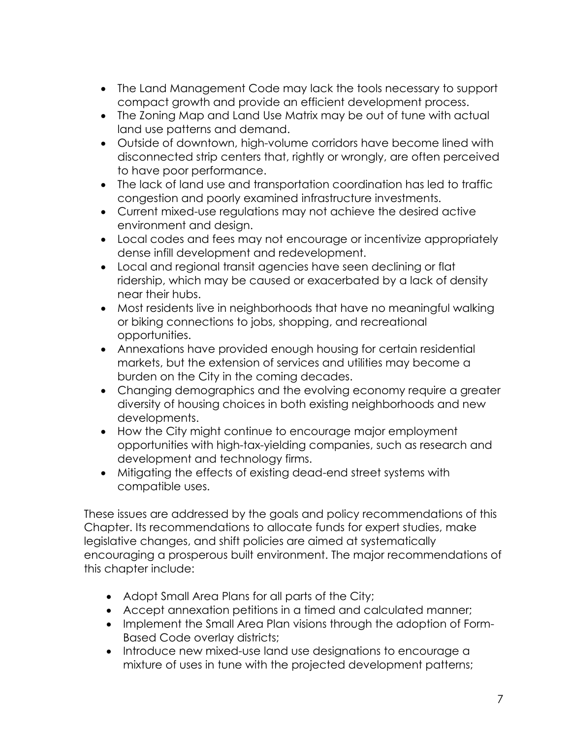- The Land Management Code may lack the tools necessary to support compact growth and provide an efficient development process.
- The Zoning Map and Land Use Matrix may be out of tune with actual land use patterns and demand.
- Outside of downtown, high-volume corridors have become lined with disconnected strip centers that, rightly or wrongly, are often perceived to have poor performance.
- The lack of land use and transportation coordination has led to traffic congestion and poorly examined infrastructure investments.
- Current mixed-use regulations may not achieve the desired active environment and design.
- Local codes and fees may not encourage or incentivize appropriately dense infill development and redevelopment.
- Local and regional transit agencies have seen declining or flat ridership, which may be caused or exacerbated by a lack of density near their hubs.
- Most residents live in neighborhoods that have no meaningful walking or biking connections to jobs, shopping, and recreational opportunities.
- Annexations have provided enough housing for certain residential markets, but the extension of services and utilities may become a burden on the City in the coming decades.
- Changing demographics and the evolving economy require a greater diversity of housing choices in both existing neighborhoods and new developments.
- How the City might continue to encourage major employment opportunities with high-tax-yielding companies, such as research and development and technology firms.
- Mitigating the effects of existing dead-end street systems with compatible uses.

These issues are addressed by the goals and policy recommendations of this Chapter. Its recommendations to allocate funds for expert studies, make legislative changes, and shift policies are aimed at systematically encouraging a prosperous built environment. The major recommendations of this chapter include:

- Adopt Small Area Plans for all parts of the City;
- Accept annexation petitions in a timed and calculated manner;
- Implement the Small Area Plan visions through the adoption of Form-Based Code overlay districts;
- Introduce new mixed-use land use designations to encourage a mixture of uses in tune with the projected development patterns;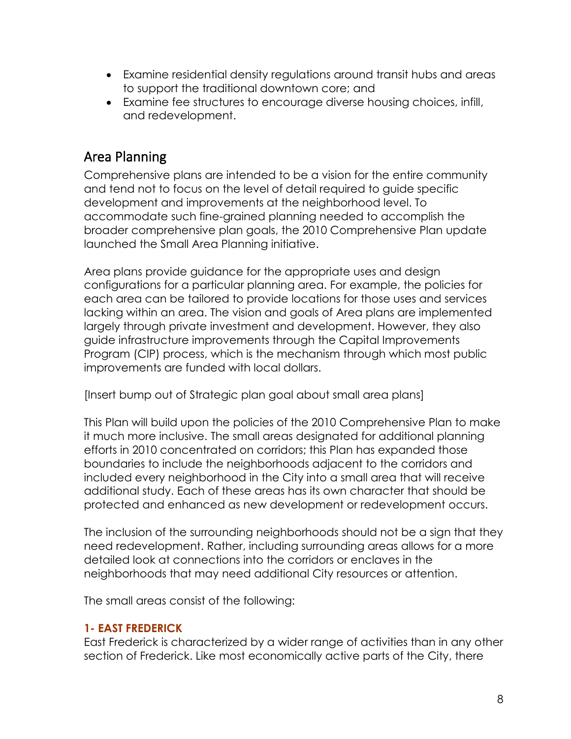- Examine residential density regulations around transit hubs and areas to support the traditional downtown core; and
- Examine fee structures to encourage diverse housing choices, infill, and redevelopment.

## Area Planning

Comprehensive plans are intended to be a vision for the entire community and tend not to focus on the level of detail required to guide specific development and improvements at the neighborhood level. To accommodate such fine-grained planning needed to accomplish the broader comprehensive plan goals, the 2010 Comprehensive Plan update launched the Small Area Planning initiative.

Area plans provide guidance for the appropriate uses and design configurations for a particular planning area. For example, the policies for each area can be tailored to provide locations for those uses and services lacking within an area. The vision and goals of Area plans are implemented largely through private investment and development. However, they also guide infrastructure improvements through the Capital Improvements Program (CIP) process, which is the mechanism through which most public improvements are funded with local dollars.

[Insert bump out of Strategic plan goal about small area plans]

This Plan will build upon the policies of the 2010 Comprehensive Plan to make it much more inclusive. The small areas designated for additional planning efforts in 2010 concentrated on corridors; this Plan has expanded those boundaries to include the neighborhoods adjacent to the corridors and included every neighborhood in the City into a small area that will receive additional study. Each of these areas has its own character that should be protected and enhanced as new development or redevelopment occurs.

The inclusion of the surrounding neighborhoods should not be a sign that they need redevelopment. Rather, including surrounding areas allows for a more detailed look at connections into the corridors or enclaves in the neighborhoods that may need additional City resources or attention.

The small areas consist of the following:

### **1- EAST FREDERICK**

East Frederick is characterized by a wider range of activities than in any other section of Frederick. Like most economically active parts of the City, there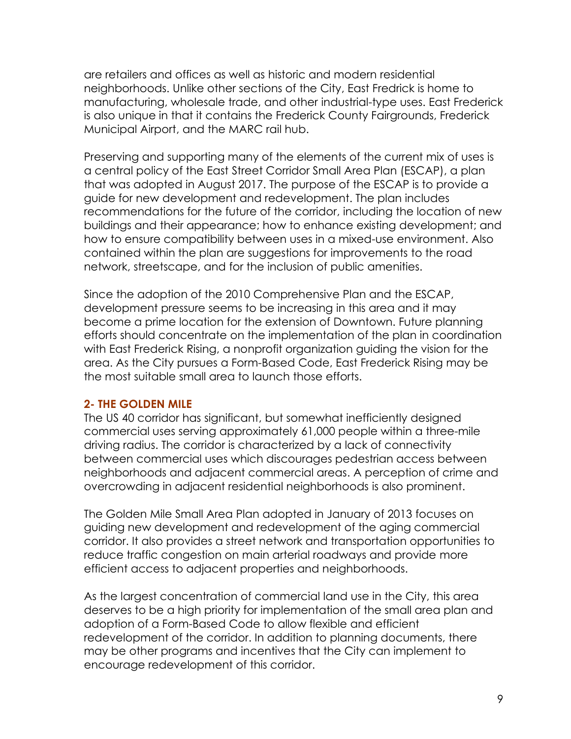are retailers and offices as well as historic and modern residential neighborhoods. Unlike other sections of the City, East Fredrick is home to manufacturing, wholesale trade, and other industrial-type uses. East Frederick is also unique in that it contains the Frederick County Fairgrounds, Frederick Municipal Airport, and the MARC rail hub.

Preserving and supporting many of the elements of the current mix of uses is a central policy of the East Street Corridor Small Area Plan (ESCAP), a plan that was adopted in August 2017. The purpose of the ESCAP is to provide a guide for new development and redevelopment. The plan includes recommendations for the future of the corridor, including the location of new buildings and their appearance; how to enhance existing development; and how to ensure compatibility between uses in a mixed-use environment. Also contained within the plan are suggestions for improvements to the road network, streetscape, and for the inclusion of public amenities.

Since the adoption of the 2010 Comprehensive Plan and the ESCAP, development pressure seems to be increasing in this area and it may become a prime location for the extension of Downtown. Future planning efforts should concentrate on the implementation of the plan in coordination with East Frederick Rising, a nonprofit organization guiding the vision for the area. As the City pursues a Form-Based Code, East Frederick Rising may be the most suitable small area to launch those efforts.

### **2- THE GOLDEN MILE**

The US 40 corridor has significant, but somewhat inefficiently designed commercial uses serving approximately 61,000 people within a three-mile driving radius. The corridor is characterized by a lack of connectivity between commercial uses which discourages pedestrian access between neighborhoods and adjacent commercial areas. A perception of crime and overcrowding in adjacent residential neighborhoods is also prominent.

The Golden Mile Small Area Plan adopted in January of 2013 focuses on guiding new development and redevelopment of the aging commercial corridor. It also provides a street network and transportation opportunities to reduce traffic congestion on main arterial roadways and provide more efficient access to adjacent properties and neighborhoods.

As the largest concentration of commercial land use in the City, this area deserves to be a high priority for implementation of the small area plan and adoption of a Form-Based Code to allow flexible and efficient redevelopment of the corridor. In addition to planning documents, there may be other programs and incentives that the City can implement to encourage redevelopment of this corridor.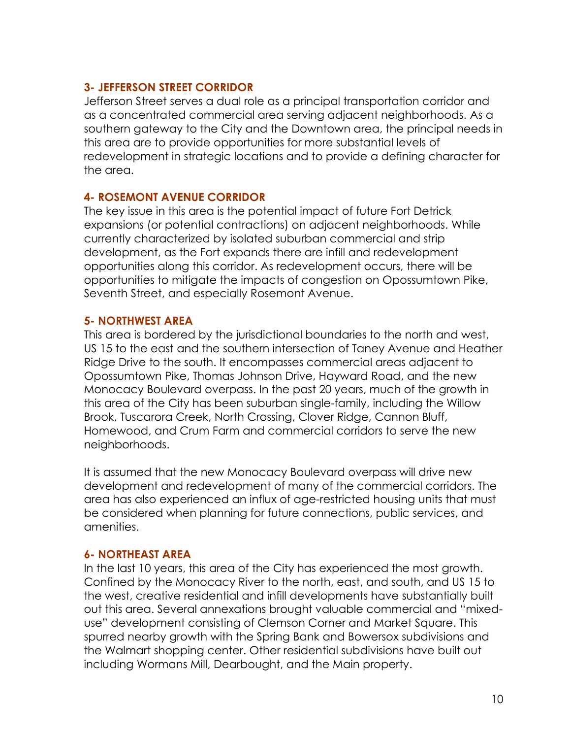### **3- JEFFERSON STREET CORRIDOR**

Jefferson Street serves a dual role as a principal transportation corridor and as a concentrated commercial area serving adjacent neighborhoods. As a southern gateway to the City and the Downtown area, the principal needs in this area are to provide opportunities for more substantial levels of redevelopment in strategic locations and to provide a defining character for the area.

### **4- ROSEMONT AVENUE CORRIDOR**

The key issue in this area is the potential impact of future Fort Detrick expansions (or potential contractions) on adjacent neighborhoods. While currently characterized by isolated suburban commercial and strip development, as the Fort expands there are infill and redevelopment opportunities along this corridor. As redevelopment occurs, there will be opportunities to mitigate the impacts of congestion on Opossumtown Pike, Seventh Street, and especially Rosemont Avenue.

### **5- NORTHWEST AREA**

This area is bordered by the jurisdictional boundaries to the north and west, US 15 to the east and the southern intersection of Taney Avenue and Heather Ridge Drive to the south. It encompasses commercial areas adjacent to Opossumtown Pike, Thomas Johnson Drive, Hayward Road, and the new Monocacy Boulevard overpass. In the past 20 years, much of the growth in this area of the City has been suburban single-family, including the Willow Brook, Tuscarora Creek, North Crossing, Clover Ridge, Cannon Bluff, Homewood, and Crum Farm and commercial corridors to serve the new neighborhoods.

It is assumed that the new Monocacy Boulevard overpass will drive new development and redevelopment of many of the commercial corridors. The area has also experienced an influx of age-restricted housing units that must be considered when planning for future connections, public services, and amenities.

### **6- NORTHEAST AREA**

In the last 10 years, this area of the City has experienced the most growth. Confined by the Monocacy River to the north, east, and south, and US 15 to the west, creative residential and infill developments have substantially built out this area. Several annexations brought valuable commercial and "mixeduse" development consisting of Clemson Corner and Market Square. This spurred nearby growth with the Spring Bank and Bowersox subdivisions and the Walmart shopping center. Other residential subdivisions have built out including Wormans Mill, Dearbought, and the Main property.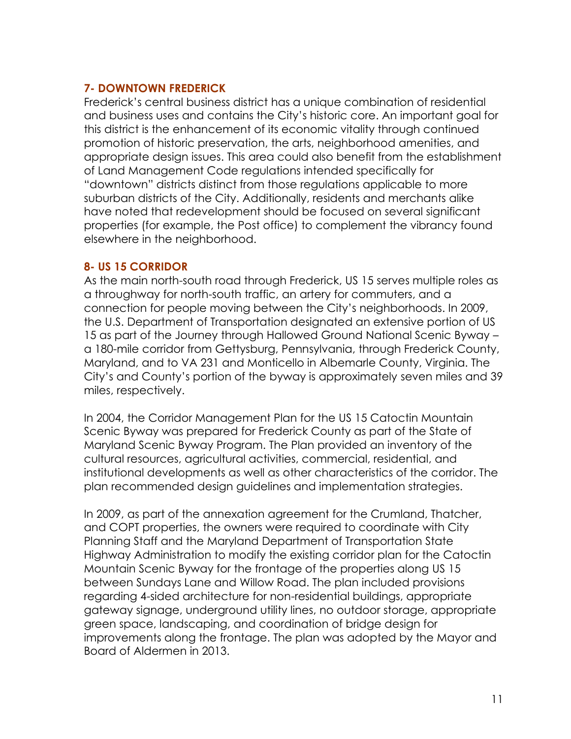### **7- DOWNTOWN FREDERICK**

Frederick's central business district has a unique combination of residential and business uses and contains the City's historic core. An important goal for this district is the enhancement of its economic vitality through continued promotion of historic preservation, the arts, neighborhood amenities, and appropriate design issues. This area could also benefit from the establishment of Land Management Code regulations intended specifically for "downtown" districts distinct from those regulations applicable to more suburban districts of the City. Additionally, residents and merchants alike have noted that redevelopment should be focused on several significant properties (for example, the Post office) to complement the vibrancy found elsewhere in the neighborhood.

### **8- US 15 CORRIDOR**

As the main north-south road through Frederick, US 15 serves multiple roles as a throughway for north-south traffic, an artery for commuters, and a connection for people moving between the City's neighborhoods. In 2009, the U.S. Department of Transportation designated an extensive portion of US 15 as part of the Journey through Hallowed Ground National Scenic Byway – a 180-mile corridor from Gettysburg, Pennsylvania, through Frederick County, Maryland, and to VA 231 and Monticello in Albemarle County, Virginia. The City's and County's portion of the byway is approximately seven miles and 39 miles, respectively.

In 2004, the Corridor Management Plan for the US 15 Catoctin Mountain Scenic Byway was prepared for Frederick County as part of the State of Maryland Scenic Byway Program. The Plan provided an inventory of the cultural resources, agricultural activities, commercial, residential, and institutional developments as well as other characteristics of the corridor. The plan recommended design guidelines and implementation strategies.

In 2009, as part of the annexation agreement for the Crumland, Thatcher, and COPT properties, the owners were required to coordinate with City Planning Staff and the Maryland Department of Transportation State Highway Administration to modify the existing corridor plan for the Catoctin Mountain Scenic Byway for the frontage of the properties along US 15 between Sundays Lane and Willow Road. The plan included provisions regarding 4-sided architecture for non-residential buildings, appropriate gateway signage, underground utility lines, no outdoor storage, appropriate green space, landscaping, and coordination of bridge design for improvements along the frontage. The plan was adopted by the Mayor and Board of Aldermen in 2013.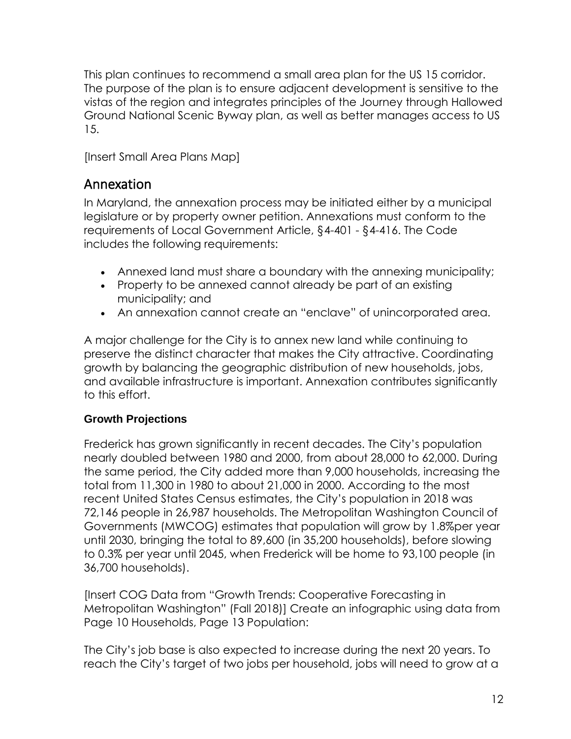This plan continues to recommend a small area plan for the US 15 corridor. The purpose of the plan is to ensure adjacent development is sensitive to the vistas of the region and integrates principles of the Journey through Hallowed Ground National Scenic Byway plan, as well as better manages access to US 15.

[Insert Small Area Plans Map]

### Annexation

In Maryland, the annexation process may be initiated either by a municipal legislature or by property owner petition. Annexations must conform to the requirements of Local Government Article, §4-401 - §4-416. The Code includes the following requirements:

- Annexed land must share a boundary with the annexing municipality;
- Property to be annexed cannot already be part of an existing municipality; and
- An annexation cannot create an "enclave" of unincorporated area.

A major challenge for the City is to annex new land while continuing to preserve the distinct character that makes the City attractive. Coordinating growth by balancing the geographic distribution of new households, jobs, and available infrastructure is important. Annexation contributes significantly to this effort.

### **Growth Projections**

Frederick has grown significantly in recent decades. The City's population nearly doubled between 1980 and 2000, from about 28,000 to 62,000. During the same period, the City added more than 9,000 households, increasing the total from 11,300 in 1980 to about 21,000 in 2000. According to the most recent United States Census estimates, the City's population in 2018 was 72,146 people in 26,987 households. The Metropolitan Washington Council of Governments (MWCOG) estimates that population will grow by 1.8%per year until 2030, bringing the total to 89,600 (in 35,200 households), before slowing to 0.3% per year until 2045, when Frederick will be home to 93,100 people (in 36,700 households).

[Insert COG Data from "Growth Trends: Cooperative Forecasting in Metropolitan Washington" (Fall 2018)] Create an infographic using data from Page 10 Households, Page 13 Population:

The City's job base is also expected to increase during the next 20 years. To reach the City's target of two jobs per household, jobs will need to grow at a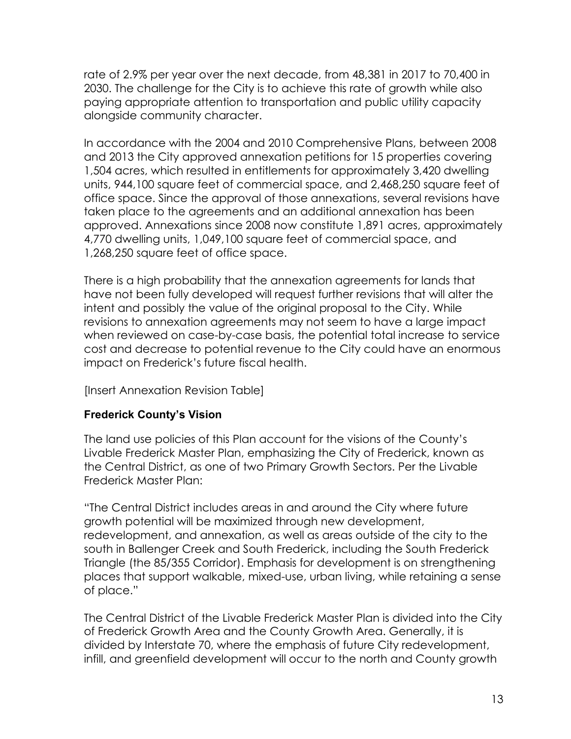rate of 2.9% per year over the next decade, from 48,381 in 2017 to 70,400 in 2030. The challenge for the City is to achieve this rate of growth while also paying appropriate attention to transportation and public utility capacity alongside community character.

In accordance with the 2004 and 2010 Comprehensive Plans, between 2008 and 2013 the City approved annexation petitions for 15 properties covering 1,504 acres, which resulted in entitlements for approximately 3,420 dwelling units, 944,100 square feet of commercial space, and 2,468,250 square feet of office space. Since the approval of those annexations, several revisions have taken place to the agreements and an additional annexation has been approved. Annexations since 2008 now constitute 1,891 acres, approximately 4,770 dwelling units, 1,049,100 square feet of commercial space, and 1,268,250 square feet of office space.

There is a high probability that the annexation agreements for lands that have not been fully developed will request further revisions that will alter the intent and possibly the value of the original proposal to the City. While revisions to annexation agreements may not seem to have a large impact when reviewed on case-by-case basis, the potential total increase to service cost and decrease to potential revenue to the City could have an enormous impact on Frederick's future fiscal health.

[Insert Annexation Revision Table]

### **Frederick County's Vision**

The land use policies of this Plan account for the visions of the County's Livable Frederick Master Plan, emphasizing the City of Frederick, known as the Central District, as one of two Primary Growth Sectors. Per the Livable Frederick Master Plan:

"The Central District includes areas in and around the City where future growth potential will be maximized through new development, redevelopment, and annexation, as well as areas outside of the city to the south in Ballenger Creek and South Frederick, including the South Frederick Triangle (the 85/355 Corridor). Emphasis for development is on strengthening places that support walkable, mixed-use, urban living, while retaining a sense of place."

The Central District of the Livable Frederick Master Plan is divided into the City of Frederick Growth Area and the County Growth Area. Generally, it is divided by Interstate 70, where the emphasis of future City redevelopment, infill, and greenfield development will occur to the north and County growth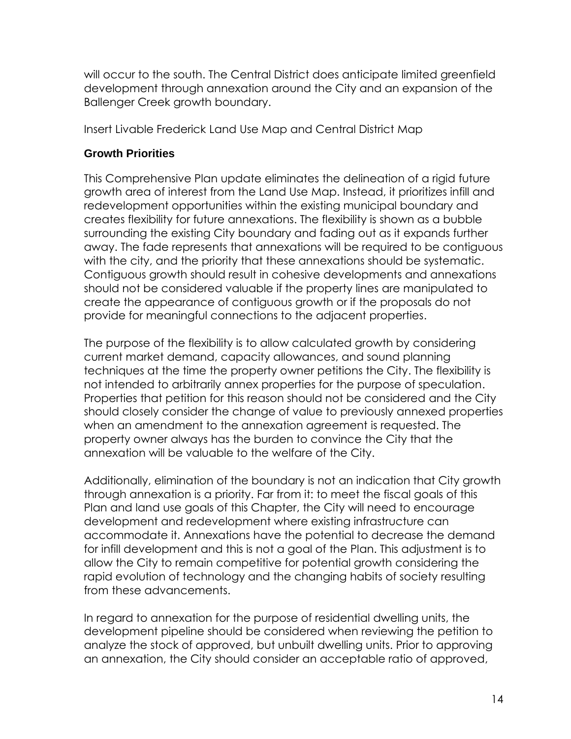will occur to the south. The Central District does anticipate limited greenfield development through annexation around the City and an expansion of the Ballenger Creek growth boundary.

Insert Livable Frederick Land Use Map and Central District Map

### **Growth Priorities**

This Comprehensive Plan update eliminates the delineation of a rigid future growth area of interest from the Land Use Map. Instead, it prioritizes infill and redevelopment opportunities within the existing municipal boundary and creates flexibility for future annexations. The flexibility is shown as a bubble surrounding the existing City boundary and fading out as it expands further away. The fade represents that annexations will be required to be contiguous with the city, and the priority that these annexations should be systematic. Contiguous growth should result in cohesive developments and annexations should not be considered valuable if the property lines are manipulated to create the appearance of contiguous growth or if the proposals do not provide for meaningful connections to the adjacent properties.

The purpose of the flexibility is to allow calculated growth by considering current market demand, capacity allowances, and sound planning techniques at the time the property owner petitions the City. The flexibility is not intended to arbitrarily annex properties for the purpose of speculation. Properties that petition for this reason should not be considered and the City should closely consider the change of value to previously annexed properties when an amendment to the annexation agreement is requested. The property owner always has the burden to convince the City that the annexation will be valuable to the welfare of the City.

Additionally, elimination of the boundary is not an indication that City growth through annexation is a priority. Far from it: to meet the fiscal goals of this Plan and land use goals of this Chapter, the City will need to encourage development and redevelopment where existing infrastructure can accommodate it. Annexations have the potential to decrease the demand for infill development and this is not a goal of the Plan. This adjustment is to allow the City to remain competitive for potential growth considering the rapid evolution of technology and the changing habits of society resulting from these advancements.

In regard to annexation for the purpose of residential dwelling units, the development pipeline should be considered when reviewing the petition to analyze the stock of approved, but unbuilt dwelling units. Prior to approving an annexation, the City should consider an acceptable ratio of approved,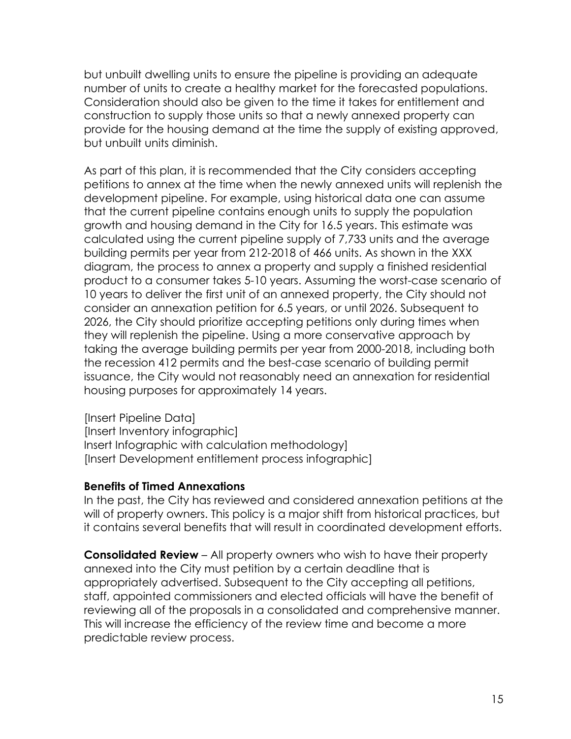but unbuilt dwelling units to ensure the pipeline is providing an adequate number of units to create a healthy market for the forecasted populations. Consideration should also be given to the time it takes for entitlement and construction to supply those units so that a newly annexed property can provide for the housing demand at the time the supply of existing approved, but unbuilt units diminish.

As part of this plan, it is recommended that the City considers accepting petitions to annex at the time when the newly annexed units will replenish the development pipeline. For example, using historical data one can assume that the current pipeline contains enough units to supply the population growth and housing demand in the City for 16.5 years. This estimate was calculated using the current pipeline supply of 7,733 units and the average building permits per year from 212-2018 of 466 units. As shown in the XXX diagram, the process to annex a property and supply a finished residential product to a consumer takes 5-10 years. Assuming the worst-case scenario of 10 years to deliver the first unit of an annexed property, the City should not consider an annexation petition for 6.5 years, or until 2026. Subsequent to 2026, the City should prioritize accepting petitions only during times when they will replenish the pipeline. Using a more conservative approach by taking the average building permits per year from 2000-2018, including both the recession 412 permits and the best-case scenario of building permit issuance, the City would not reasonably need an annexation for residential housing purposes for approximately 14 years.

[Insert Pipeline Data] [Insert Inventory infographic] Insert Infographic with calculation methodology] [Insert Development entitlement process infographic]

### **Benefits of Timed Annexations**

In the past, the City has reviewed and considered annexation petitions at the will of property owners. This policy is a major shift from historical practices, but it contains several benefits that will result in coordinated development efforts.

**Consolidated Review** – All property owners who wish to have their property annexed into the City must petition by a certain deadline that is appropriately advertised. Subsequent to the City accepting all petitions, staff, appointed commissioners and elected officials will have the benefit of reviewing all of the proposals in a consolidated and comprehensive manner. This will increase the efficiency of the review time and become a more predictable review process.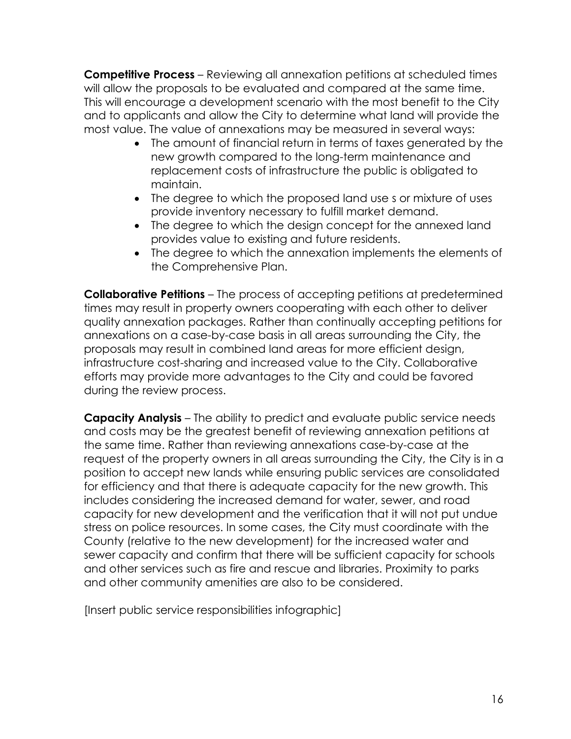**Competitive Process** – Reviewing all annexation petitions at scheduled times will allow the proposals to be evaluated and compared at the same time. This will encourage a development scenario with the most benefit to the City and to applicants and allow the City to determine what land will provide the most value. The value of annexations may be measured in several ways:

- The amount of financial return in terms of taxes generated by the new growth compared to the long-term maintenance and replacement costs of infrastructure the public is obligated to maintain.
- The degree to which the proposed land use s or mixture of uses provide inventory necessary to fulfill market demand.
- The degree to which the design concept for the annexed land provides value to existing and future residents.
- The degree to which the annexation implements the elements of the Comprehensive Plan.

**Collaborative Petitions** – The process of accepting petitions at predetermined times may result in property owners cooperating with each other to deliver quality annexation packages. Rather than continually accepting petitions for annexations on a case-by-case basis in all areas surrounding the City, the proposals may result in combined land areas for more efficient design, infrastructure cost-sharing and increased value to the City. Collaborative efforts may provide more advantages to the City and could be favored during the review process.

**Capacity Analysis** – The ability to predict and evaluate public service needs and costs may be the greatest benefit of reviewing annexation petitions at the same time. Rather than reviewing annexations case-by-case at the request of the property owners in all areas surrounding the City, the City is in a position to accept new lands while ensuring public services are consolidated for efficiency and that there is adequate capacity for the new growth. This includes considering the increased demand for water, sewer, and road capacity for new development and the verification that it will not put undue stress on police resources. In some cases, the City must coordinate with the County (relative to the new development) for the increased water and sewer capacity and confirm that there will be sufficient capacity for schools and other services such as fire and rescue and libraries. Proximity to parks and other community amenities are also to be considered.

[Insert public service responsibilities infographic]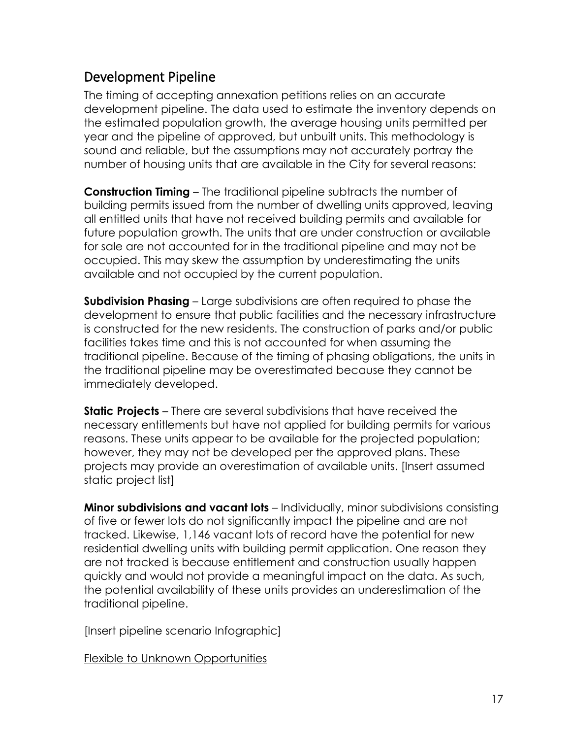### Development Pipeline

The timing of accepting annexation petitions relies on an accurate development pipeline. The data used to estimate the inventory depends on the estimated population growth, the average housing units permitted per year and the pipeline of approved, but unbuilt units. This methodology is sound and reliable, but the assumptions may not accurately portray the number of housing units that are available in the City for several reasons:

**Construction Timing** – The traditional pipeline subtracts the number of building permits issued from the number of dwelling units approved, leaving all entitled units that have not received building permits and available for future population growth. The units that are under construction or available for sale are not accounted for in the traditional pipeline and may not be occupied. This may skew the assumption by underestimating the units available and not occupied by the current population.

**Subdivision Phasing** – Large subdivisions are often required to phase the development to ensure that public facilities and the necessary infrastructure is constructed for the new residents. The construction of parks and/or public facilities takes time and this is not accounted for when assuming the traditional pipeline. Because of the timing of phasing obligations, the units in the traditional pipeline may be overestimated because they cannot be immediately developed.

**Static Projects** – There are several subdivisions that have received the necessary entitlements but have not applied for building permits for various reasons. These units appear to be available for the projected population; however, they may not be developed per the approved plans. These projects may provide an overestimation of available units. [Insert assumed static project list]

**Minor subdivisions and vacant lots** – Individually, minor subdivisions consisting of five or fewer lots do not significantly impact the pipeline and are not tracked. Likewise, 1,146 vacant lots of record have the potential for new residential dwelling units with building permit application. One reason they are not tracked is because entitlement and construction usually happen quickly and would not provide a meaningful impact on the data. As such, the potential availability of these units provides an underestimation of the traditional pipeline.

[Insert pipeline scenario Infographic]

Flexible to Unknown Opportunities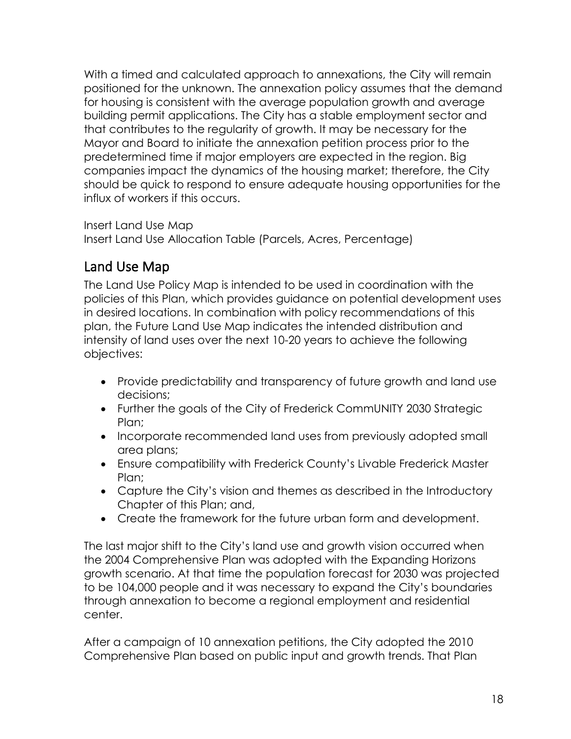With a timed and calculated approach to annexations, the City will remain positioned for the unknown. The annexation policy assumes that the demand for housing is consistent with the average population growth and average building permit applications. The City has a stable employment sector and that contributes to the regularity of growth. It may be necessary for the Mayor and Board to initiate the annexation petition process prior to the predetermined time if major employers are expected in the region. Big companies impact the dynamics of the housing market; therefore, the City should be quick to respond to ensure adequate housing opportunities for the influx of workers if this occurs.

Insert Land Use Map

Insert Land Use Allocation Table (Parcels, Acres, Percentage)

## Land Use Map

The Land Use Policy Map is intended to be used in coordination with the policies of this Plan, which provides guidance on potential development uses in desired locations. In combination with policy recommendations of this plan, the Future Land Use Map indicates the intended distribution and intensity of land uses over the next 10-20 years to achieve the following objectives:

- Provide predictability and transparency of future growth and land use decisions;
- Further the goals of the City of Frederick CommUNITY 2030 Strategic Plan;
- Incorporate recommended land uses from previously adopted small area plans;
- Ensure compatibility with Frederick County's Livable Frederick Master Plan;
- Capture the City's vision and themes as described in the Introductory Chapter of this Plan; and,
- Create the framework for the future urban form and development.

The last major shift to the City's land use and growth vision occurred when the 2004 Comprehensive Plan was adopted with the Expanding Horizons growth scenario. At that time the population forecast for 2030 was projected to be 104,000 people and it was necessary to expand the City's boundaries through annexation to become a regional employment and residential center.

After a campaign of 10 annexation petitions, the City adopted the 2010 Comprehensive Plan based on public input and growth trends. That Plan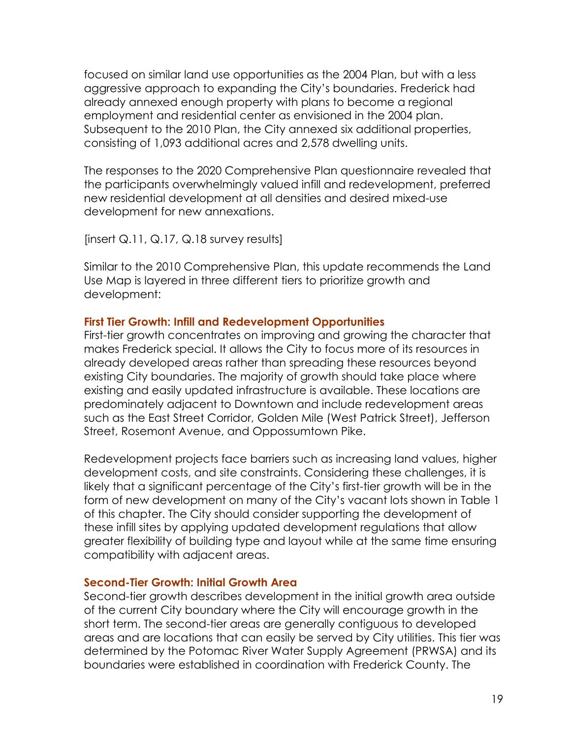focused on similar land use opportunities as the 2004 Plan, but with a less aggressive approach to expanding the City's boundaries. Frederick had already annexed enough property with plans to become a regional employment and residential center as envisioned in the 2004 plan. Subsequent to the 2010 Plan, the City annexed six additional properties, consisting of 1,093 additional acres and 2,578 dwelling units.

The responses to the 2020 Comprehensive Plan questionnaire revealed that the participants overwhelmingly valued infill and redevelopment, preferred new residential development at all densities and desired mixed-use development for new annexations.

 $[insert Q.11, Q.17, Q.18$  survey results]

Similar to the 2010 Comprehensive Plan, this update recommends the Land Use Map is layered in three different tiers to prioritize growth and development:

### **First Tier Growth: Infill and Redevelopment Opportunities**

First-tier growth concentrates on improving and growing the character that makes Frederick special. It allows the City to focus more of its resources in already developed areas rather than spreading these resources beyond existing City boundaries. The majority of growth should take place where existing and easily updated infrastructure is available. These locations are predominately adjacent to Downtown and include redevelopment areas such as the East Street Corridor, Golden Mile (West Patrick Street), Jefferson Street, Rosemont Avenue, and Oppossumtown Pike.

Redevelopment projects face barriers such as increasing land values, higher development costs, and site constraints. Considering these challenges, it is likely that a significant percentage of the City's first-tier growth will be in the form of new development on many of the City's vacant lots shown in Table 1 of this chapter. The City should consider supporting the development of these infill sites by applying updated development regulations that allow greater flexibility of building type and layout while at the same time ensuring compatibility with adjacent areas.

### **Second-Tier Growth: Initial Growth Area**

Second-tier growth describes development in the initial growth area outside of the current City boundary where the City will encourage growth in the short term. The second-tier areas are generally contiguous to developed areas and are locations that can easily be served by City utilities. This tier was determined by the Potomac River Water Supply Agreement (PRWSA) and its boundaries were established in coordination with Frederick County. The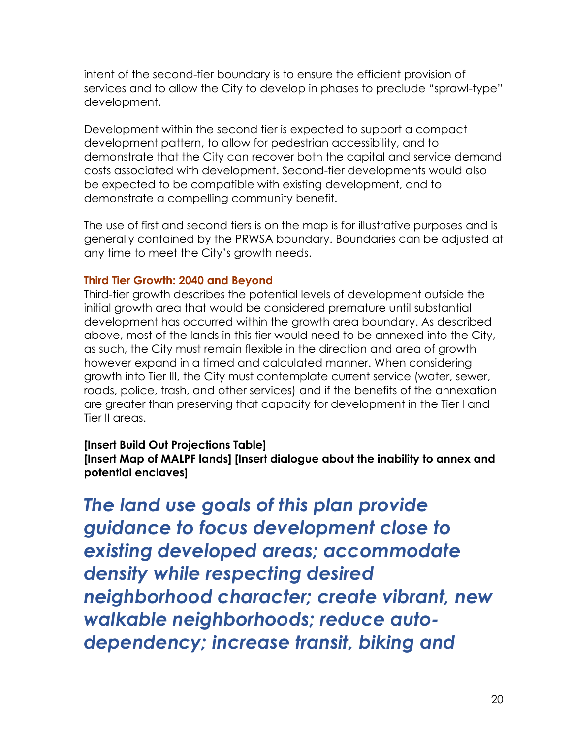intent of the second-tier boundary is to ensure the efficient provision of services and to allow the City to develop in phases to preclude "sprawl-type" development.

Development within the second tier is expected to support a compact development pattern, to allow for pedestrian accessibility, and to demonstrate that the City can recover both the capital and service demand costs associated with development. Second-tier developments would also be expected to be compatible with existing development, and to demonstrate a compelling community benefit.

The use of first and second tiers is on the map is for illustrative purposes and is generally contained by the PRWSA boundary. Boundaries can be adjusted at any time to meet the City's growth needs.

### **Third Tier Growth: 2040 and Beyond**

Third-tier growth describes the potential levels of development outside the initial growth area that would be considered premature until substantial development has occurred within the growth area boundary. As described above, most of the lands in this tier would need to be annexed into the City, as such, the City must remain flexible in the direction and area of growth however expand in a timed and calculated manner. When considering growth into Tier III, the City must contemplate current service (water, sewer, roads, police, trash, and other services) and if the benefits of the annexation are greater than preserving that capacity for development in the Tier I and Tier II areas.

### **[Insert Build Out Projections Table]**

**[Insert Map of MALPF lands] [Insert dialogue about the inability to annex and potential enclaves]**

*The land use goals of this plan provide guidance to focus development close to existing developed areas; accommodate density while respecting desired neighborhood character; create vibrant, new walkable neighborhoods; reduce autodependency; increase transit, biking and*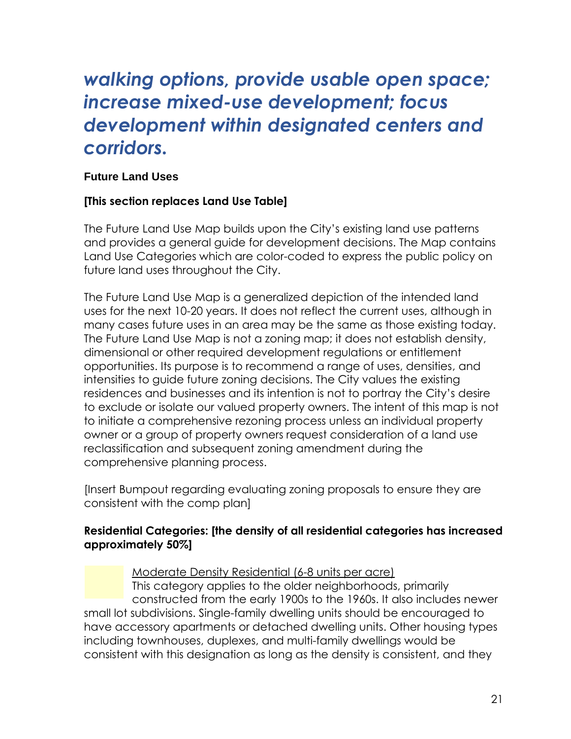# *walking options, provide usable open space; increase mixed-use development; focus development within designated centers and corridors.*

### **Future Land Uses**

### **[This section replaces Land Use Table]**

The Future Land Use Map builds upon the City's existing land use patterns and provides a general guide for development decisions. The Map contains Land Use Categories which are color-coded to express the public policy on future land uses throughout the City.

The Future Land Use Map is a generalized depiction of the intended land uses for the next 10-20 years. It does not reflect the current uses, although in many cases future uses in an area may be the same as those existing today. The Future Land Use Map is not a zoning map; it does not establish density, dimensional or other required development regulations or entitlement opportunities. Its purpose is to recommend a range of uses, densities, and intensities to guide future zoning decisions. The City values the existing residences and businesses and its intention is not to portray the City's desire to exclude or isolate our valued property owners. The intent of this map is not to initiate a comprehensive rezoning process unless an individual property owner or a group of property owners request consideration of a land use reclassification and subsequent zoning amendment during the comprehensive planning process.

[Insert Bumpout regarding evaluating zoning proposals to ensure they are consistent with the comp plan]

### **Residential Categories: [the density of all residential categories has increased approximately 50%]**

Moderate Density Residential (6-8 units per acre)

This category applies to the older neighborhoods, primarily constructed from the early 1900s to the 1960s. It also includes newer small lot subdivisions. Single-family dwelling units should be encouraged to have accessory apartments or detached dwelling units. Other housing types including townhouses, duplexes, and multi-family dwellings would be consistent with this designation as long as the density is consistent, and they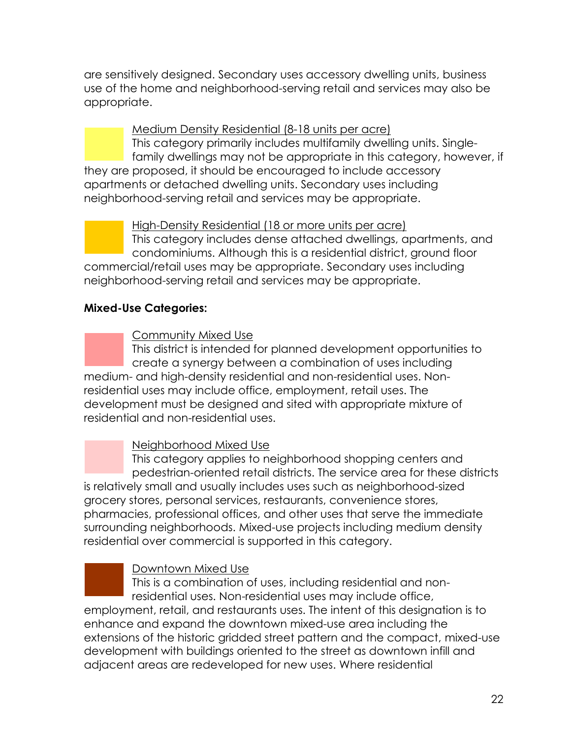are sensitively designed. Secondary uses accessory dwelling units, business use of the home and neighborhood-serving retail and services may also be appropriate.

Medium Density Residential (8-18 units per acre) This category primarily includes multifamily dwelling units. Singlefamily dwellings may not be appropriate in this category, however, if they are proposed, it should be encouraged to include accessory apartments or detached dwelling units. Secondary uses including neighborhood-serving retail and services may be appropriate.

High-Density Residential (18 or more units per acre) This category includes dense attached dwellings, apartments, and condominiums. Although this is a residential district, ground floor commercial/retail uses may be appropriate. Secondary uses including neighborhood-serving retail and services may be appropriate.

### **Mixed-Use Categories:**

### Community Mixed Use

This district is intended for planned development opportunities to create a synergy between a combination of uses including medium- and high-density residential and non-residential uses. Nonresidential uses may include office, employment, retail uses. The development must be designed and sited with appropriate mixture of residential and non-residential uses.

### Neighborhood Mixed Use

This category applies to neighborhood shopping centers and pedestrian-oriented retail districts. The service area for these districts is relatively small and usually includes uses such as neighborhood-sized grocery stores, personal services, restaurants, convenience stores, pharmacies, professional offices, and other uses that serve the immediate surrounding neighborhoods. Mixed-use projects including medium density residential over commercial is supported in this category.

### Downtown Mixed Use

This is a combination of uses, including residential and nonresidential uses. Non-residential uses may include office, employment, retail, and restaurants uses. The intent of this designation is to enhance and expand the downtown mixed-use area including the extensions of the historic gridded street pattern and the compact, mixed-use development with buildings oriented to the street as downtown infill and adjacent areas are redeveloped for new uses. Where residential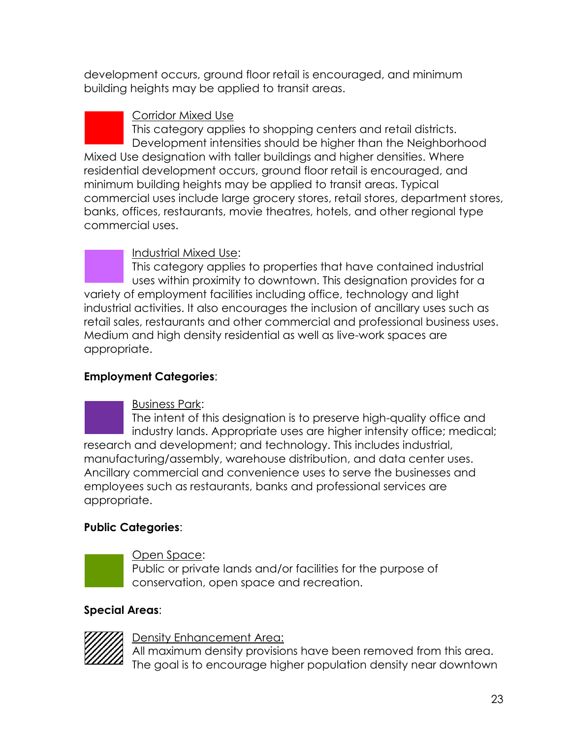development occurs, ground floor retail is encouraged, and minimum building heights may be applied to transit areas.

Corridor Mixed Use

This category applies to shopping centers and retail districts. Development intensities should be higher than the Neighborhood Mixed Use designation with taller buildings and higher densities. Where residential development occurs, ground floor retail is encouraged, and minimum building heights may be applied to transit areas. Typical commercial uses include large grocery stores, retail stores, department stores, banks, offices, restaurants, movie theatres, hotels, and other regional type commercial uses.

Industrial Mixed Use:

This category applies to properties that have contained industrial uses within proximity to downtown. This designation provides for a variety of employment facilities including office, technology and light industrial activities. It also encourages the inclusion of ancillary uses such as retail sales, restaurants and other commercial and professional business uses. Medium and high density residential as well as live-work spaces are appropriate.

### **Employment Categories**:

Business Park:

The intent of this designation is to preserve high-quality office and industry lands. Appropriate uses are higher intensity office; medical; research and development; and technology. This includes industrial, manufacturing/assembly, warehouse distribution, and data center uses. Ancillary commercial and convenience uses to serve the businesses and employees such as restaurants, banks and professional services are appropriate.

### **Public Categories**:



Open Space:

Public or private lands and/or facilities for the purpose of conservation, open space and recreation.

### **Special Areas**:



Density Enhancement Area:

All maximum density provisions have been removed from this area. The goal is to encourage higher population density near downtown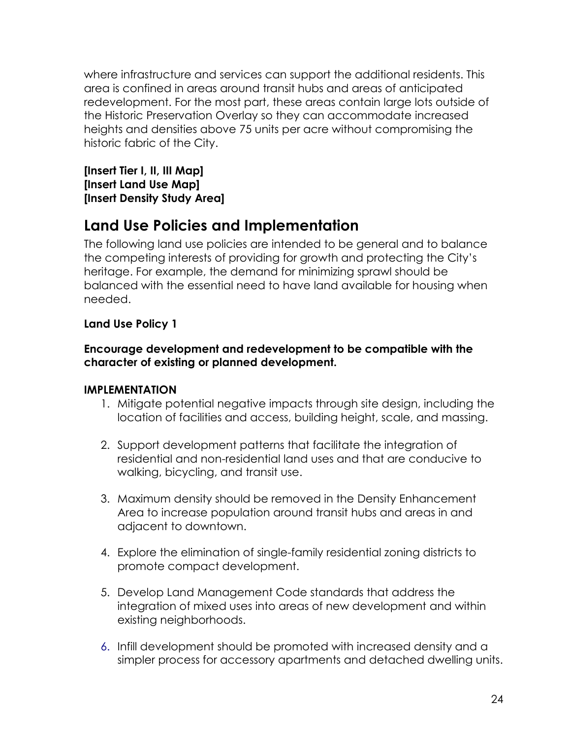where infrastructure and services can support the additional residents. This area is confined in areas around transit hubs and areas of anticipated redevelopment. For the most part, these areas contain large lots outside of the Historic Preservation Overlay so they can accommodate increased heights and densities above 75 units per acre without compromising the historic fabric of the City.

**[Insert Tier I, II, III Map] [Insert Land Use Map] [Insert Density Study Area]**

## **Land Use Policies and Implementation**

The following land use policies are intended to be general and to balance the competing interests of providing for growth and protecting the City's heritage. For example, the demand for minimizing sprawl should be balanced with the essential need to have land available for housing when needed.

### **Land Use Policy 1**

### **Encourage development and redevelopment to be compatible with the character of existing or planned development.**

- 1. Mitigate potential negative impacts through site design, including the location of facilities and access, building height, scale, and massing.
- 2. Support development patterns that facilitate the integration of residential and non-residential land uses and that are conducive to walking, bicycling, and transit use.
- 3. Maximum density should be removed in the Density Enhancement Area to increase population around transit hubs and areas in and adjacent to downtown.
- 4. Explore the elimination of single-family residential zoning districts to promote compact development.
- 5. Develop Land Management Code standards that address the integration of mixed uses into areas of new development and within existing neighborhoods.
- 6. Infill development should be promoted with increased density and a simpler process for accessory apartments and detached dwelling units.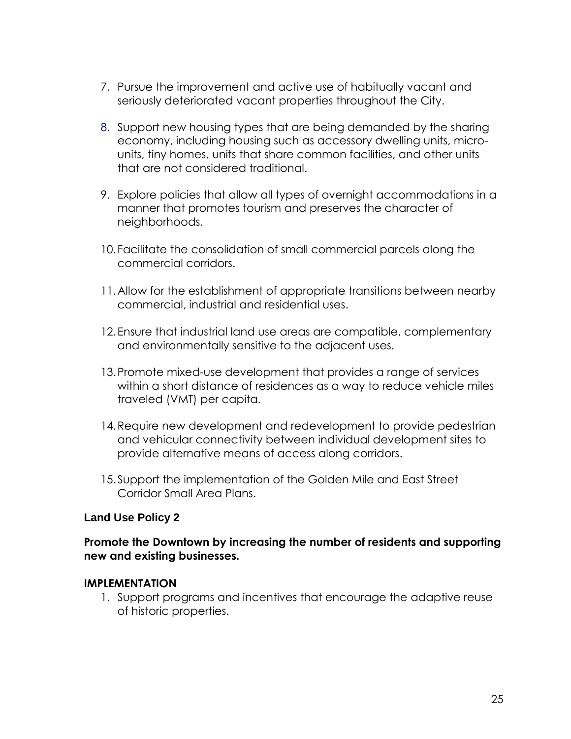- 7. Pursue the improvement and active use of habitually vacant and seriously deteriorated vacant properties throughout the City.
- 8. Support new housing types that are being demanded by the sharing economy, including housing such as accessory dwelling units, microunits, tiny homes, units that share common facilities, and other units that are not considered traditional.
- 9. Explore policies that allow all types of overnight accommodations in a manner that promotes tourism and preserves the character of neighborhoods.
- 10. Facilitate the consolidation of small commercial parcels along the commercial corridors.
- 11.Allow for the establishment of appropriate transitions between nearby commercial, industrial and residential uses.
- 12.Ensure that industrial land use areas are compatible, complementary and environmentally sensitive to the adjacent uses.
- 13.Promote mixed-use development that provides a range of services within a short distance of residences as a way to reduce vehicle miles traveled (VMT) per capita.
- 14.Require new development and redevelopment to provide pedestrian and vehicular connectivity between individual development sites to provide alternative means of access along corridors.
- 15.Support the implementation of the Golden Mile and East Street Corridor Small Area Plans.

### **Promote the Downtown by increasing the number of residents and supporting new and existing businesses.**

### **IMPLEMENTATION**

1. Support programs and incentives that encourage the adaptive reuse of historic properties.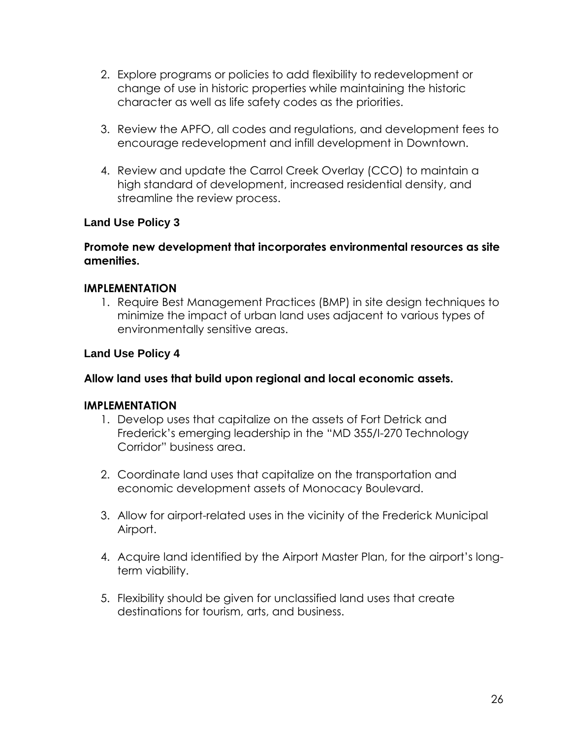- 2. Explore programs or policies to add flexibility to redevelopment or change of use in historic properties while maintaining the historic character as well as life safety codes as the priorities.
- 3. Review the APFO, all codes and regulations, and development fees to encourage redevelopment and infill development in Downtown.
- 4. Review and update the Carrol Creek Overlay (CCO) to maintain a high standard of development, increased residential density, and streamline the review process.

### **Promote new development that incorporates environmental resources as site amenities.**

### **IMPLEMENTATION**

1. Require Best Management Practices (BMP) in site design techniques to minimize the impact of urban land uses adjacent to various types of environmentally sensitive areas.

### **Land Use Policy 4**

### **Allow land uses that build upon regional and local economic assets.**

- 1. Develop uses that capitalize on the assets of Fort Detrick and Frederick's emerging leadership in the "MD 355/I-270 Technology Corridor" business area.
- 2. Coordinate land uses that capitalize on the transportation and economic development assets of Monocacy Boulevard.
- 3. Allow for airport-related uses in the vicinity of the Frederick Municipal Airport.
- 4. Acquire land identified by the Airport Master Plan, for the airport's longterm viability.
- 5. Flexibility should be given for unclassified land uses that create destinations for tourism, arts, and business.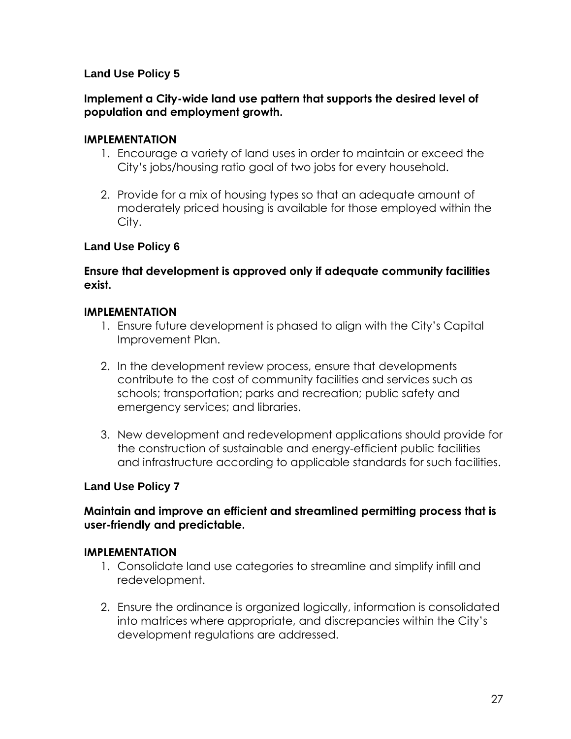### **Implement a City-wide land use pattern that supports the desired level of population and employment growth.**

### **IMPLEMENTATION**

- 1. Encourage a variety of land uses in order to maintain or exceed the City's jobs/housing ratio goal of two jobs for every household.
- 2. Provide for a mix of housing types so that an adequate amount of moderately priced housing is available for those employed within the City.

### **Land Use Policy 6**

### **Ensure that development is approved only if adequate community facilities exist.**

### **IMPLEMENTATION**

- 1. Ensure future development is phased to align with the City's Capital Improvement Plan.
- 2. In the development review process, ensure that developments contribute to the cost of community facilities and services such as schools; transportation; parks and recreation; public safety and emergency services; and libraries.
- 3. New development and redevelopment applications should provide for the construction of sustainable and energy-efficient public facilities and infrastructure according to applicable standards for such facilities.

### **Land Use Policy 7**

### **Maintain and improve an efficient and streamlined permitting process that is user-friendly and predictable.**

- 1. Consolidate land use categories to streamline and simplify infill and redevelopment.
- 2. Ensure the ordinance is organized logically, information is consolidated into matrices where appropriate, and discrepancies within the City's development regulations are addressed.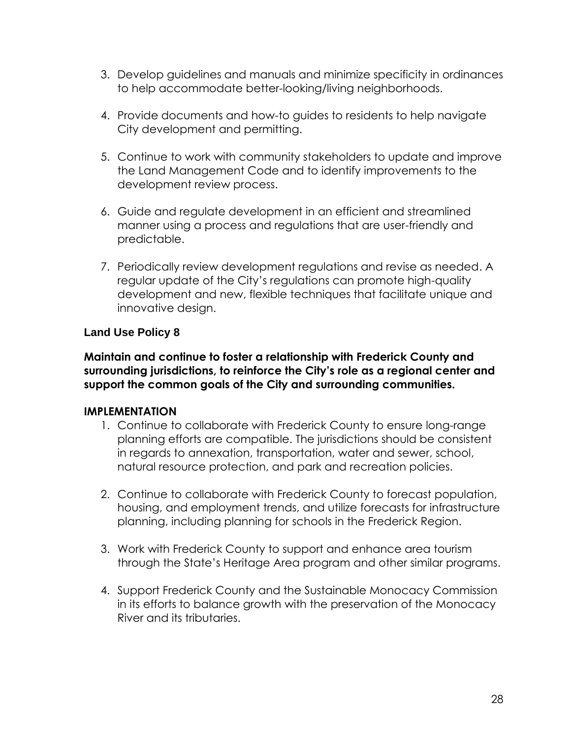- 3. Develop guidelines and manuals and minimize specificity in ordinances to help accommodate better-looking/living neighborhoods.
- 4. Provide documents and how-to guides to residents to help navigate City development and permitting.
- 5. Continue to work with community stakeholders to update and improve the Land Management Code and to identify improvements to the development review process.
- 6. Guide and regulate development in an efficient and streamlined manner using a process and regulations that are user-friendly and predictable.
- 7. Periodically review development regulations and revise as needed. A regular update of the City's regulations can promote high-quality development and new, flexible techniques that facilitate unique and innovative design.

**Maintain and continue to foster a relationship with Frederick County and surrounding jurisdictions, to reinforce the City's role as a regional center and support the common goals of the City and surrounding communities.** 

- 1. Continue to collaborate with Frederick County to ensure long-range planning efforts are compatible. The jurisdictions should be consistent in regards to annexation, transportation, water and sewer, school, natural resource protection, and park and recreation policies.
- 2. Continue to collaborate with Frederick County to forecast population, housing, and employment trends, and utilize forecasts for infrastructure planning, including planning for schools in the Frederick Region.
- 3. Work with Frederick County to support and enhance area tourism through the State's Heritage Area program and other similar programs.
- 4. Support Frederick County and the Sustainable Monocacy Commission in its efforts to balance growth with the preservation of the Monocacy River and its tributaries.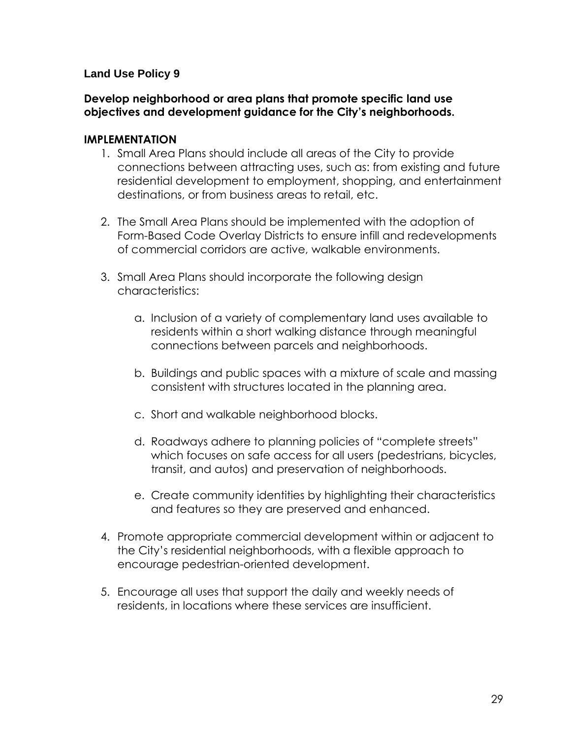### **Develop neighborhood or area plans that promote specific land use objectives and development guidance for the City's neighborhoods.**

- 1. Small Area Plans should include all areas of the City to provide connections between attracting uses, such as: from existing and future residential development to employment, shopping, and entertainment destinations, or from business areas to retail, etc.
- 2. The Small Area Plans should be implemented with the adoption of Form-Based Code Overlay Districts to ensure infill and redevelopments of commercial corridors are active, walkable environments.
- 3. Small Area Plans should incorporate the following design characteristics:
	- a. Inclusion of a variety of complementary land uses available to residents within a short walking distance through meaningful connections between parcels and neighborhoods.
	- b. Buildings and public spaces with a mixture of scale and massing consistent with structures located in the planning area.
	- c. Short and walkable neighborhood blocks.
	- d. Roadways adhere to planning policies of "complete streets" which focuses on safe access for all users (pedestrians, bicycles, transit, and autos) and preservation of neighborhoods.
	- e. Create community identities by highlighting their characteristics and features so they are preserved and enhanced.
- 4. Promote appropriate commercial development within or adjacent to the City's residential neighborhoods, with a flexible approach to encourage pedestrian-oriented development.
- 5. Encourage all uses that support the daily and weekly needs of residents, in locations where these services are insufficient.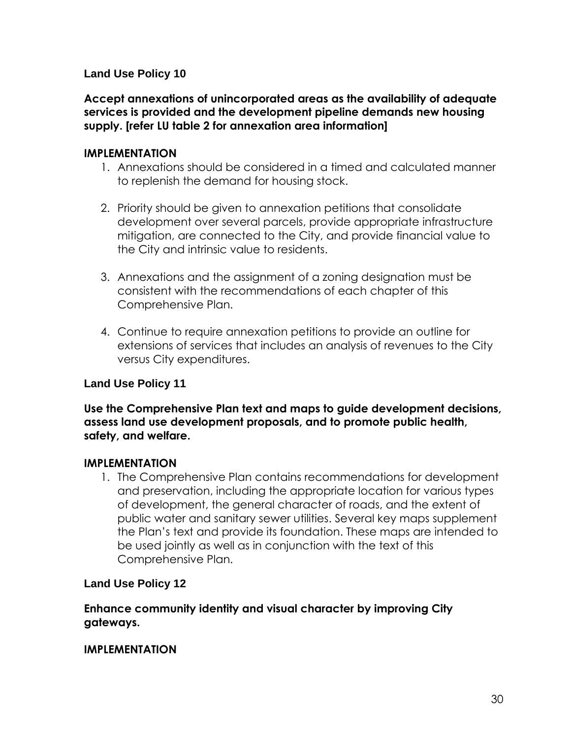**Accept annexations of unincorporated areas as the availability of adequate services is provided and the development pipeline demands new housing supply. [refer LU table 2 for annexation area information]**

### **IMPLEMENTATION**

- 1. Annexations should be considered in a timed and calculated manner to replenish the demand for housing stock.
- 2. Priority should be given to annexation petitions that consolidate development over several parcels, provide appropriate infrastructure mitigation, are connected to the City, and provide financial value to the City and intrinsic value to residents.
- 3. Annexations and the assignment of a zoning designation must be consistent with the recommendations of each chapter of this Comprehensive Plan.
- 4. Continue to require annexation petitions to provide an outline for extensions of services that includes an analysis of revenues to the City versus City expenditures.

### **Land Use Policy 11**

**Use the Comprehensive Plan text and maps to guide development decisions, assess land use development proposals, and to promote public health, safety, and welfare.** 

### **IMPLEMENTATION**

1. The Comprehensive Plan contains recommendations for development and preservation, including the appropriate location for various types of development, the general character of roads, and the extent of public water and sanitary sewer utilities. Several key maps supplement the Plan's text and provide its foundation. These maps are intended to be used jointly as well as in conjunction with the text of this Comprehensive Plan.

### **Land Use Policy 12**

**Enhance community identity and visual character by improving City gateways.**